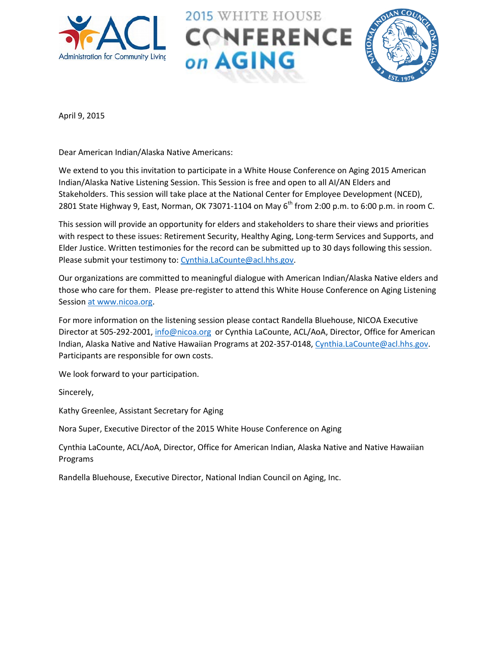





April 9, 2015

Dear American Indian/Alaska Native Americans:

We extend to you this invitation to participate in a White House Conference on Aging 2015 American Indian/Alaska Native Listening Session. This Session is free and open to all AI/AN Elders and Stakeholders. This session will take place at the National Center for Employee Development (NCED), 2801 State Highway 9, East, Norman, OK 73071-1104 on May 6<sup>th</sup> from 2:00 p.m. to 6:00 p.m. in room C.

This session will provide an opportunity for elders and stakeholders to share their views and priorities with respect to these issues: Retirement Security, Healthy Aging, Long-term Services and Supports, and Elder Justice. Written testimonies for the record can be submitted up to 30 days following this session. Please submit your testimony to: [Cynthia.LaCounte@acl.hhs.gov.](mailto:Cynthia.LaCounte@acl.hhs.gov)

Our organizations are committed to meaningful dialogue with American Indian/Alaska Native elders and those who care for them. Please pre-register to attend this White House Conference on Aging Listening Session at www.nicoa.org.

For more information on the listening session please contact Randella Bluehouse, NICOA Executive Director at 505-292-2001, *info@nicoa.org* or Cynthia LaCounte, ACL/AoA, Director, Office for American Indian, Alaska Native and Native Hawaiian Programs at 202-357-0148, [Cynthia.LaCounte@acl.hhs.gov.](mailto:Cynthia.LaCounte@acl.hhs.gov) Participants are responsible for own costs.

We look forward to your participation.

Sincerely,

Kathy Greenlee, Assistant Secretary for Aging

Nora Super, Executive Director of the 2015 White House Conference on Aging

Cynthia LaCounte, ACL/AoA, Director, Office for American Indian, Alaska Native and Native Hawaiian Programs

Randella Bluehouse, Executive Director, National Indian Council on Aging, Inc.